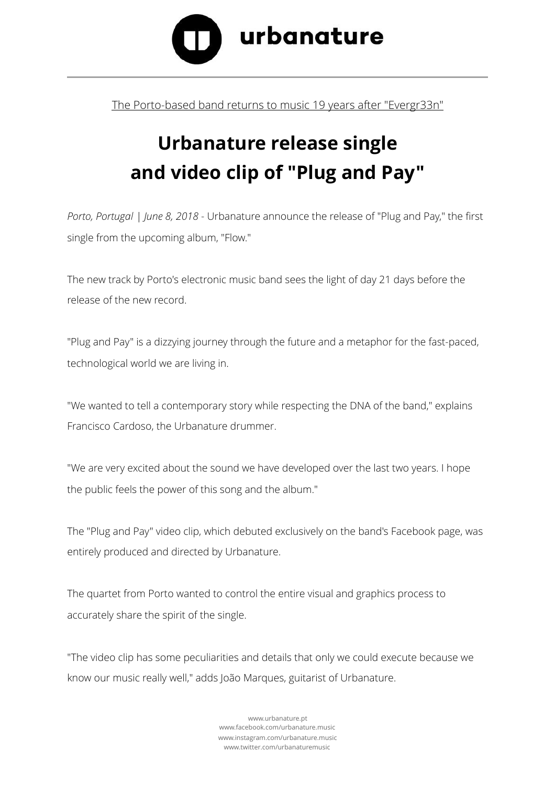

## The Porto-based band returns to music 19 years after "Evergr33n"

## **Urbanature release single and video clip of "Plug and Pay"**

*Porto, Portugal | June 8, 2018* - Urbanature announce the release of "Plug and Pay," the first single from the upcoming album, "Flow."

The new track by Porto's electronic music band sees the light of day 21 days before the release of the new record.

"Plug and Pay" is a dizzying journey through the future and a metaphor for the fast-paced, technological world we are living in.

"We wanted to tell a contemporary story while respecting the DNA of the band," explains Francisco Cardoso, the Urbanature drummer.

"We are very excited about the sound we have developed over the last two years. I hope the public feels the power of this song and the album."

The "Plug and Pay" video clip, which debuted exclusively on the band's Facebook page, was entirely produced and directed by Urbanature.

The quartet from Porto wanted to control the entire visual and graphics process to accurately share the spirit of the single.

"The video clip has some peculiarities and details that only we could execute because we know our music really well," adds João Marques, guitarist of Urbanature.

> [www.urbanature.pt](http://www.urbanature.pt) [www.facebook.com/urbanature.music](http://www.facebook.com/urbanature.music)  [www.instagram.com/urbanature.music](http://www.instagram.com/urbanature.music) [www.twitter.com/urbanaturemusic](http://www.twitter.com/urbanaturemusic)